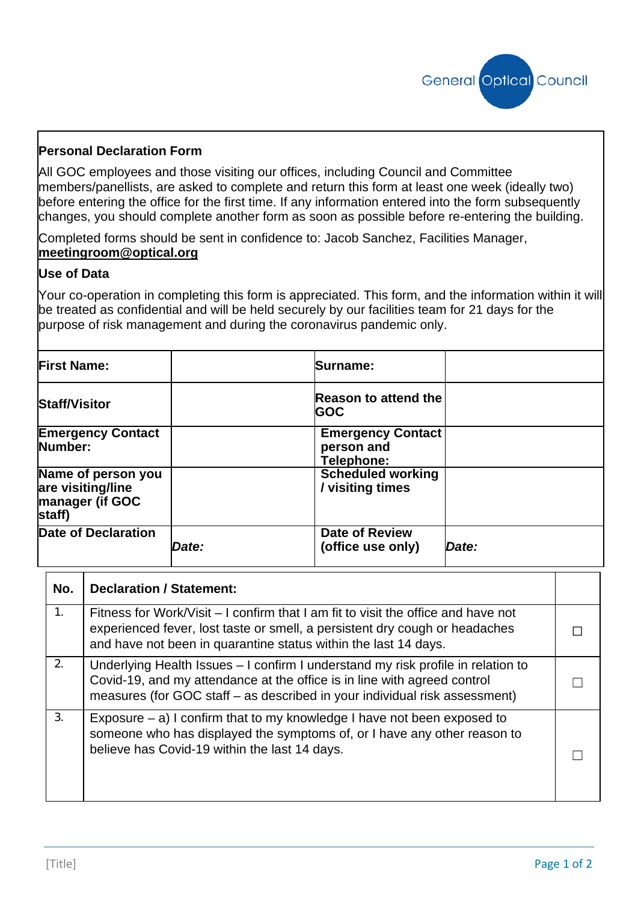

## **Personal Declaration Form**

All GOC employees and those visiting our offices, including Council and Committee members/panellists, are asked to complete and return this form at least one week (ideally two) before entering the office for the first time. If any information entered into the form subsequently changes, you should complete another form as soon as possible before re-entering the building.

Completed forms should be sent in confidence to: Jacob Sanchez, Facilities Manager, **[meetingroom@optical.org](mailto:meetingroom@optical.org)**

## **Use of Data**

Your co-operation in completing this form is appreciated. This form, and the information within it will be treated as confidential and will be held securely by our facilities team for 21 days for the purpose of risk management and during the coronavirus pandemic only.

| <b>First Name:</b>                                                   |       | Surname:                                             |       |
|----------------------------------------------------------------------|-------|------------------------------------------------------|-------|
| <b>Staff/Visitor</b>                                                 |       | <b>Reason to attend the</b><br><b>GOC</b>            |       |
| <b>Emergency Contact</b><br>Number:                                  |       | <b>Emergency Contact</b><br>person and<br>Telephone: |       |
| Name of person you<br>are visiting/line<br>manager (if GOC<br>staff) |       | <b>Scheduled working</b><br>/ visiting times         |       |
| <b>Date of Declaration</b>                                           | Date: | <b>Date of Review</b><br>(office use only)           | Date: |

| No. | <b>Declaration / Statement:</b>                                                                                                                                                                                                            |  |
|-----|--------------------------------------------------------------------------------------------------------------------------------------------------------------------------------------------------------------------------------------------|--|
| 1.  | Fitness for Work/Visit – I confirm that I am fit to visit the office and have not<br>experienced fever, lost taste or smell, a persistent dry cough or headaches<br>and have not been in quarantine status within the last 14 days.        |  |
| 2.  | Underlying Health Issues – I confirm I understand my risk profile in relation to<br>Covid-19, and my attendance at the office is in line with agreed control<br>measures (for GOC staff – as described in your individual risk assessment) |  |
| 3.  | Exposure $-$ a) I confirm that to my knowledge I have not been exposed to<br>someone who has displayed the symptoms of, or I have any other reason to<br>believe has Covid-19 within the last 14 days.                                     |  |